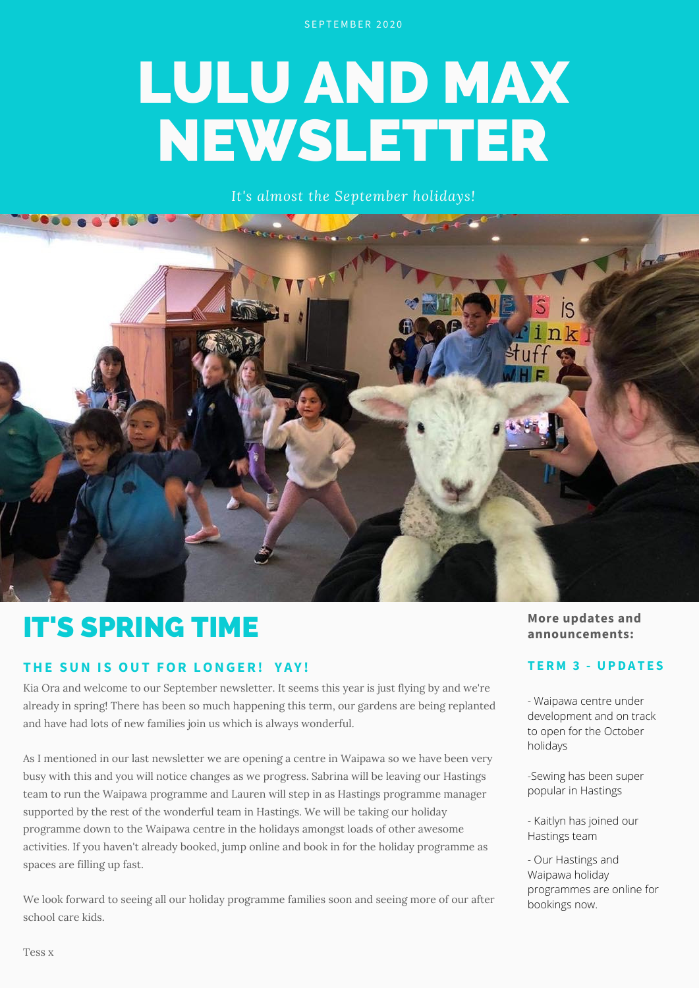SEPTEMBER 2020

# LULU AND MAX NEWSLETTER

*It's almost the September holidays!*



## IT'S SPRING TIME

#### **THE SUN I S OUT FOR LONGER! Y A Y !**

Kia Ora and welcome to our September newsletter. It seems this year is just flying by and we're already in spring! There has been so much happening this term, our gardens are being replanted and have had lots of new families join us which is always wonderful.

As I mentioned in our last newsletter we are opening a centre in Waipawa so we have been very busy with this and you will notice changes as we progress. Sabrina will be leaving our Hastings team to run the Waipawa programme and Lauren will step in as Hastings programme manager supported by the rest of the wonderful team in Hastings. We will be taking our holiday programme down to the Waipawa centre in the holidays amongst loads of other awesome activities. If you haven't already booked, jump online and book in for the holiday programme as spaces are filling up fast.

We look forward to seeing all our holiday programme families soon and seeing more of our after school care kids.

#### **More updates and announcements:**

#### **T ERM 3 - UPDA T E S**

- Waipawa centre under development and on track to open for the October holidays

-Sewing has been super popular in Hastings

- Kaitlyn has joined our Hastings team

- Our Hastings and Waipawa holiday programmes are online for bookings now.